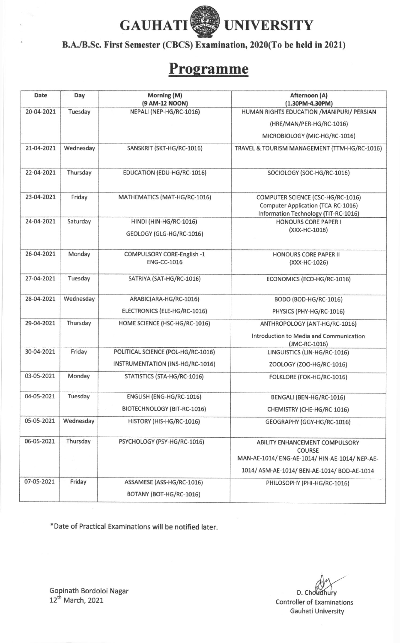

B.A./B.Sc. First Semester (CBCS) Examination, 2020(To be held in 2021)

## Programme

| <b>Date</b> | Day       | Morning (M)<br>(9 AM-12 NOON)                    | Afternoon (A)<br>(1.30PM-4.30PM)                                                                  |
|-------------|-----------|--------------------------------------------------|---------------------------------------------------------------------------------------------------|
| 20-04-2021  | Tuesday   | NEPALI (NEP-HG/RC-1016)                          | HUMAN RIGHTS EDUCATION / MANIPURI/ PERSIAN                                                        |
|             |           |                                                  | (HRE/MAN/PER-HG/RC-1016)                                                                          |
|             |           |                                                  | MICROBIOLOGY (MIC-HG/RC-1016)                                                                     |
| 21-04-2021  | Wednesday | SANSKRIT (SKT-HG/RC-1016)                        | TRAVEL & TOURISM MANAGEMENT (TTM-HG/RC-1016)                                                      |
| 22-04-2021  | Thursday  | EDUCATION (EDU-HG/RC-1016)                       | SOCIOLOGY (SOC-HG/RC-1016)                                                                        |
| 23-04-2021  | Friday    | MATHEMATICS (MAT-HG/RC-1016)                     | COMPUTER SCIENCE (CSC-HG/RC-1016)                                                                 |
|             |           |                                                  | Computer Application (TCA-RC-1016)<br>Information Technology (TIT-RC-1016)                        |
| 24-04-2021  | Saturday  | HINDI (HIN-HG/RC-1016)                           | <b>HONOURS CORE PAPER I</b>                                                                       |
|             |           | GEOLOGY (GLG-HG/RC-1016)                         | (XXX-HC-1016)                                                                                     |
| 26-04-2021  | Monday    | COMPULSORY CORE-English -1<br><b>ENG-CC-1016</b> | <b>HONOURS CORE PAPER II</b><br>(XXX-HC-1026)                                                     |
| 27-04-2021  | Tuesday   | SATRIYA (SAT-HG/RC-1016)                         | ECONOMICS (ECO-HG/RC-1016)                                                                        |
| 28-04-2021  | Wednesday | ARABIC(ARA-HG/RC-1016)                           | BODO (BOD-HG/RC-1016)                                                                             |
|             |           | ELECTRONICS (ELE-HG/RC-1016)                     | PHYSICS (PHY-HG/RC-1016)                                                                          |
| 29-04-2021  | Thursday  | HOME SCIENCE (HSC-HG/RC-1016)                    | ANTHROPOLOGY (ANT-HG/RC-1016)                                                                     |
|             |           |                                                  | Introduction to Media and Communication<br>(JMC-RC-1016)                                          |
| 30-04-2021  | Friday    | POLITICAL SCIENCE (POL-HG/RC-1016)               | LINGUISTICS (LIN-HG/RC-1016)                                                                      |
|             |           | INSTRUMENTATION (INS-HG/RC-1016)                 | ZOOLOGY (ZOO-HG/RC-1016)                                                                          |
| 03-05-2021  | Monday    | STATISTICS (STA-HG/RC-1016)                      | FOLKLORE (FOK-HG/RC-1016)                                                                         |
| 04-05-2021  | Tuesday   | ENGLISH (ENG-HG/RC-1016)                         | BENGALI (BEN-HG/RC-1016)                                                                          |
|             |           | BIOTECHNOLOGY (BIT-RC-1016)                      | CHEMISTRY (CHE-HG/RC-1016)                                                                        |
| 05-05-2021  | Wednesday | HISTORY (HIS-HG/RC-1016)                         | GEOGRAPHY (GGY-HG/RC-1016)                                                                        |
| 06-05-2021  | Thursday  | PSYCHOLOGY (PSY-HG/RC-1016)                      | ABILITY ENHANCEMENT COMPULSORY<br><b>COURSE</b><br>MAN-AE-1014/ ENG-AE-1014/ HIN-AE-1014/ NEP-AE- |
| 07-05-2021  | Friday    |                                                  | 1014/ ASM-AE-1014/ BEN-AE-1014/ BOD-AE-1014                                                       |
|             |           | ASSAMESE (ASS-HG/RC-1016)                        | PHILOSOPHY (PHI-HG/RC-1016)                                                                       |
|             |           | BOTANY (BOT-HG/RC-1016)                          |                                                                                                   |

\*Date of Practical Examinations will be notified later.

D. Choudhury Controller of Examinations Gauhati University

Gopinath Bordoloi Nagar  $12^{\mathrm{m}}$  March, 2021